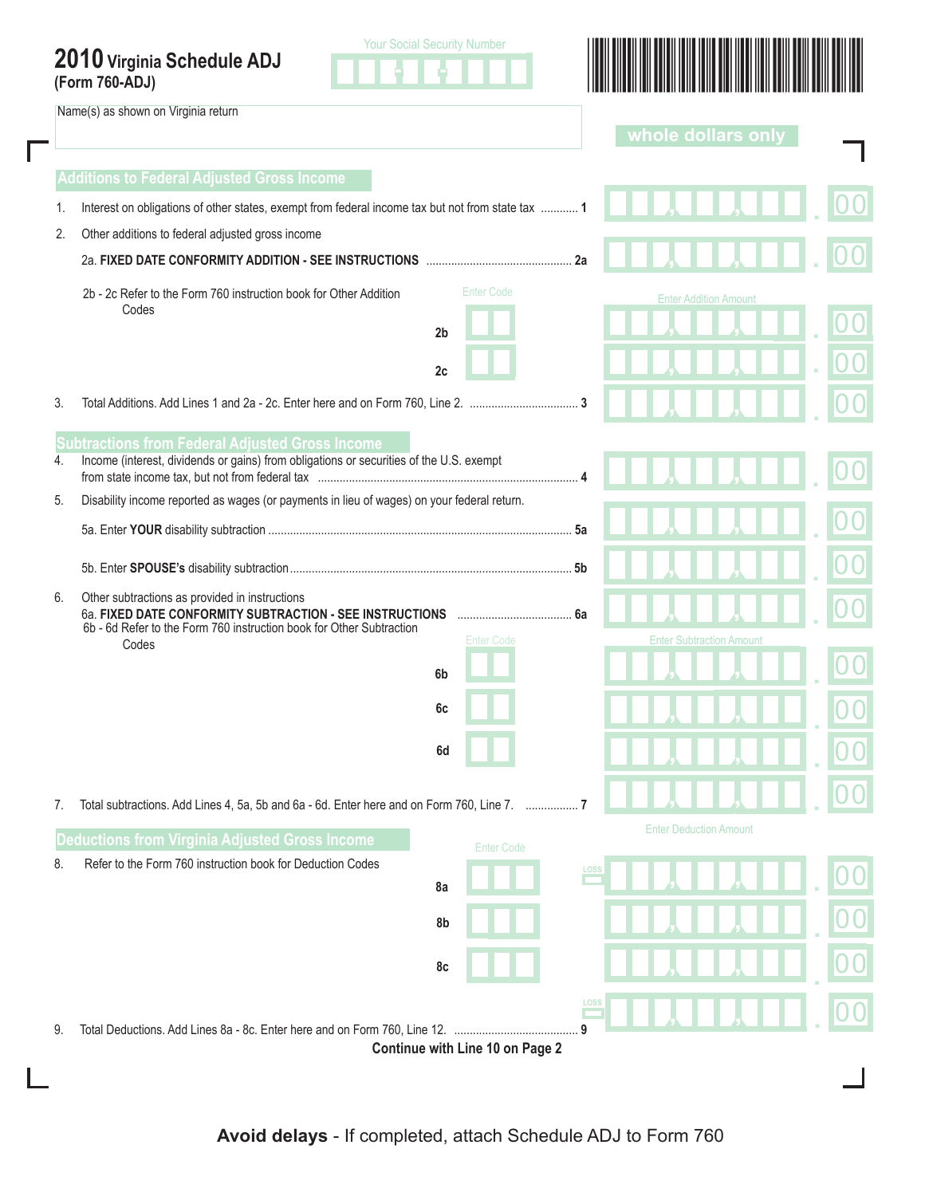|                | 2010 Virginia Schedule ADJ |  |
|----------------|----------------------------|--|
| (Form 760-ADJ) |                            |  |

 Name(s) as shown on Virginia return

Г





|    |                                                                                                                                                   |                                      | whole dollars only              |  |
|----|---------------------------------------------------------------------------------------------------------------------------------------------------|--------------------------------------|---------------------------------|--|
|    | <b>Additions to Federal Adjusted Gross Income</b>                                                                                                 |                                      |                                 |  |
| 1. | Interest on obligations of other states, exempt from federal income tax but not from state tax  1                                                 |                                      |                                 |  |
| 2. | Other additions to federal adjusted gross income                                                                                                  |                                      |                                 |  |
|    |                                                                                                                                                   |                                      |                                 |  |
|    | 2b - 2c Refer to the Form 760 instruction book for Other Addition                                                                                 | <b>Enter Code</b>                    | <b>Enter Addition Amount</b>    |  |
|    | Codes<br>2 <sub>b</sub>                                                                                                                           |                                      |                                 |  |
|    | 2c                                                                                                                                                |                                      |                                 |  |
|    |                                                                                                                                                   |                                      |                                 |  |
| 3. |                                                                                                                                                   |                                      |                                 |  |
| 4. | <b>Subtractions from Federal Adjusted Gross Income</b><br>Income (interest, dividends or gains) from obligations or securities of the U.S. exempt |                                      |                                 |  |
|    |                                                                                                                                                   |                                      |                                 |  |
| 5. | Disability income reported as wages (or payments in lieu of wages) on your federal return.                                                        |                                      |                                 |  |
|    |                                                                                                                                                   |                                      |                                 |  |
|    |                                                                                                                                                   |                                      |                                 |  |
| 6. | Other subtractions as provided in instructions<br>6a. FIXED DATE CONFORMITY SUBTRACTION - SEE INSTRUCTIONS                                        | 6a                                   |                                 |  |
|    | 6b - 6d Refer to the Form 760 instruction book for Other Subtraction<br>Codes                                                                     | <b>Enter Code</b>                    | <b>Enter Subtraction Amount</b> |  |
|    | 6b                                                                                                                                                |                                      |                                 |  |
|    | 6c                                                                                                                                                |                                      |                                 |  |
|    |                                                                                                                                                   |                                      |                                 |  |
|    | 6d                                                                                                                                                |                                      |                                 |  |
| 7. | 10. Iotal subtractions. Add Lines 4, 5a, 5b and 6a - 6d. Enter here and on Form 760, Line 7.                                                      |                                      |                                 |  |
|    | <b>Deductions from Virginia Adjusted Gross Income</b>                                                                                             |                                      | <b>Enter Deduction Amount</b>   |  |
| 8. | Refer to the Form 760 instruction book for Deduction Codes                                                                                        | <b>Enter Code</b><br>LOSS            |                                 |  |
|    | 8a                                                                                                                                                |                                      |                                 |  |
|    | 8b                                                                                                                                                |                                      |                                 |  |
|    | 8c                                                                                                                                                |                                      |                                 |  |
|    |                                                                                                                                                   |                                      |                                 |  |
|    |                                                                                                                                                   | <u>LOSS</u>                          |                                 |  |
| 9. | Total Deductions. Add Lines 8a - 8c. Enter here and on Form 760, Line 12.                                                                         | 9<br>Continue with Line 10 on Page 2 |                                 |  |
|    |                                                                                                                                                   |                                      |                                 |  |